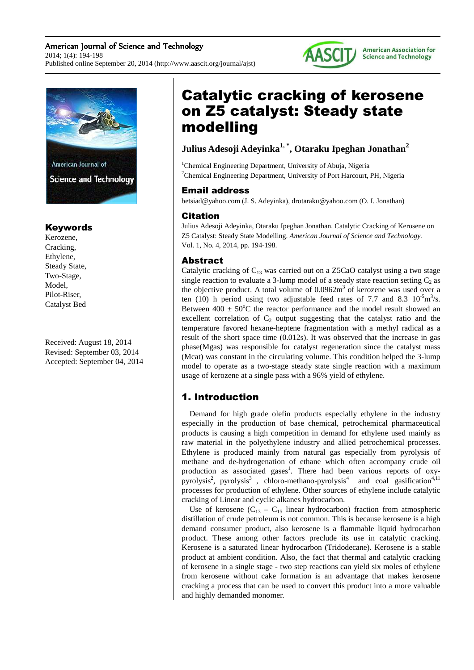### American Journal of Science and Technology 2014; 1(4): 194-198 Published online September 20, 2014 (http://www.aascit.org/journal/ajst)





# Keywords

Kerozene, Cracking, Ethylene, Steady State, Two-Stage, Model, Pilot-Riser, Catalyst Bed

Received: August 18, 2014 Revised: September 03, 2014 Accepted: September 04, 2014

# Catalytic cracking of kerosene on Z5 catalyst: Steady state modelling

# **Julius Adesoji Adeyinka1, \*, Otaraku Ipeghan Jonathan<sup>2</sup>**

<sup>1</sup>Chemical Engineering Department, University of Abuja, Nigeria <sup>2</sup>Chemical Engineering Department, University of Port Harcourt, PH, Nigeria

# Email address

betsiad@yahoo.com (J. S. Adeyinka), drotaraku@yahoo.com (O. I. Jonathan)

# Citation

Julius Adesoji Adeyinka, Otaraku Ipeghan Jonathan. Catalytic Cracking of Kerosene on Z5 Catalyst: Steady State Modelling. *American Journal of Science and Technology.* Vol. 1, No. 4, 2014, pp. 194-198.

# Abstract

Catalytic cracking of  $C_{13}$  was carried out on a Z5CaO catalyst using a two stage single reaction to evaluate a 3-lump model of a steady state reaction setting  $C_2$  as the objective product. A total volume of  $0.0962m<sup>3</sup>$  of kerozene was used over a ten (10) h period using two adjustable feed rates of 7.7 and 8.3  $10^{-5}$ m<sup>3</sup>/s. Between  $400 \pm 50^{\circ}$ C the reactor performance and the model result showed an excellent correlation of  $C_2$  output suggesting that the catalyst ratio and the temperature favored hexane-heptene fragmentation with a methyl radical as a result of the short space time (0.012s). It was observed that the increase in gas phase(Mgas) was responsible for catalyst regeneration since the catalyst mass (Mcat) was constant in the circulating volume. This condition helped the 3-lump model to operate as a two-stage steady state single reaction with a maximum usage of kerozene at a single pass with a 96% yield of ethylene.

# 1. Introduction

Demand for high grade olefin products especially ethylene in the industry especially in the production of base chemical, petrochemical pharmaceutical products is causing a high competition in demand for ethylene used mainly as raw material in the polyethylene industry and allied petrochemical processes. Ethylene is produced mainly from natural gas especially from pyrolysis of methane and de-hydrogenation of ethane which often accompany crude oil production as associated gases<sup>1</sup>. There had been various reports of oxypyrolysis<sup>2</sup>, pyrolysis<sup>3</sup>, chloro-methano-pyrolysis<sup>4</sup> and coal gasification<sup>4,11</sup> processes for production of ethylene. Other sources of ethylene include catalytic cracking of Linear and cyclic alkanes hydrocarbon.

Use of kerosene  $(C_{13} - C_{15})$  linear hydrocarbon) fraction from atmospheric distillation of crude petroleum is not common. This is because kerosene is a high demand consumer product, also kerosene is a flammable liquid hydrocarbon product. These among other factors preclude its use in catalytic cracking. Kerosene is a saturated linear hydrocarbon (Tridodecane). Kerosene is a stable product at ambient condition. Also, the fact that thermal and catalytic cracking of kerosene in a single stage - two step reactions can yield six moles of ethylene from kerosene without cake formation is an advantage that makes kerosene cracking a process that can be used to convert this product into a more valuable and highly demanded monomer.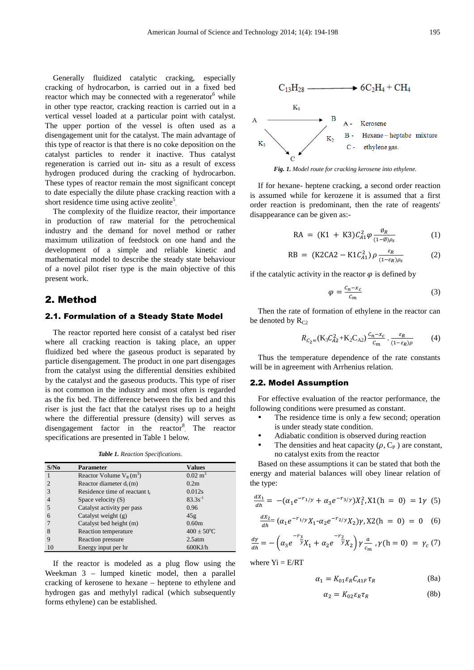Generally fluidized catalytic cracking, especially cracking of hydrocarbon, is carried out in a fixed bed reactor which may be connected with a regenerator $6$  while in other type reactor, cracking reaction is carried out in a vertical vessel loaded at a particular point with catalyst. The upper portion of the vessel is often used as a disengagement unit for the catalyst. The main advantage of this type of reactor is that there is no coke deposition on the catalyst particles to render it inactive. Thus catalyst regeneration is carried out in- situ as a result of excess hydrogen produced during the cracking of hydrocarbon. These types of reactor remain the most significant concept to date especially the dilute phase cracking reaction with a short residence time using active zeolite<sup>5</sup>.

The complexity of the fluidize reactor, their importance in production of raw material for the petrochemical industry and the demand for novel method or rather maximum utilization of feedstock on one hand and the development of a simple and reliable kinetic and mathematical model to describe the steady state behaviour of a novel pilot riser type is the main objective of this present work.

### 2. Method

#### 2.1. Formulation of a Steady State Model

The reactor reported here consist of a catalyst bed riser where all cracking reaction is taking place, an upper fluidized bed where the gaseous product is separated by particle disengagement. The product in one part disengages from the catalyst using the differential densities exhibited by the catalyst and the gaseous products. This type of riser is not common in the industry and most often is regarded as the fix bed. The difference between the fix bed and this riser is just the fact that the catalyst rises up to a height where the differential pressure (density) will serves as disengagement factor in the reactor<sup>8</sup>. The reactor specifications are presented in Table 1 below.

*Table 1. Reaction Specifications.* 

| S/No           | Parameter                     | <b>Values</b>          |
|----------------|-------------------------------|------------------------|
|                | Reactor Volume $V_R(m^3)$     | $0.02 \text{ m}^3$     |
| $\overline{2}$ | Reactor diameter $d_i(m)$     | 0.2 <sub>m</sub>       |
| 3              | Residence time of reactant tr | 0.012s                 |
|                | Space velocity $(S)$          | $83.3s^{-1}$           |
| 5              | Catalyst activity per pass    | 0.96                   |
| 6              | Catalyst weight (g)           | 45g                    |
|                | Catalyst bed height (m)       | 0.60 <sub>m</sub>      |
| 8              | Reaction temperature          | $400 \pm 50^{\circ}$ C |
| 9              | Reaction pressure             | 2.5atm                 |
| 10             | Energy input per hr           | $600$ KJ/h             |

If the reactor is modeled as a plug flow using the Weekman 3 – lumped kinetic model, then a parallel cracking of kerosene to hexane – heptene to ethylene and hydrogen gas and methylyl radical (which subsequently forms ethylene) can be established.



*Fig. 1. Model route for cracking kerosene into ethylene.* 

If for hexane- heptene cracking, a second order reaction is assumed while for kerozene it is assumed that a first order reaction is predominant, then the rate of reagents' disappearance can be given as:-

$$
RA = (K1 + K3)C_{A1}^{2} \varphi \frac{\vartheta_{R}}{(1 - \vartheta)\rho_{S}}
$$
 (1)

$$
RB = (K2CA2 - K1C_{A1}^2) \rho \frac{\varepsilon_R}{(1 - \varepsilon_R)\rho_s}
$$
 (2)

if the catalytic activity in the reactor  $\varphi$  is defined by

$$
\varphi = \frac{c_n - x_c}{c_m} \tag{3}
$$

Then the rate of formation of ethylene in the reactor can be denoted by  $R_{C2}$ 

$$
R_{C_2=}(K_3 C_{A2}^2 + K_2 C_{A2}) \frac{c_n - x_c}{c_m} \cdot \frac{\varepsilon_R}{(1 - \varepsilon_R)\rho} \tag{4}
$$

Thus the temperature dependence of the rate constants will be in agreement with Arrhenius relation.

#### 2.2. Model Assumption

For effective evaluation of the reactor performance, the following conditions were presumed as constant.

- The residence time is only a few second; operation is under steady state condition.
- Adiabatic condition is observed during reaction
- The densities and heat capacity  $(\rho, C_P)$  are constant, no catalyst exits from the reactor

Based on these assumptions it can be stated that both the energy and material balances will obey linear relation of the type:

$$
\frac{dx_1}{dh} = -(\alpha_1 e^{-r_1/y} + \alpha_3 e^{-r_3/y}) X_1^2, X1(h = 0) = 1\gamma
$$
 (5)

$$
\frac{dx_2}{dh} = (\alpha_1 e^{-r_1/y} X_1 \cdot \alpha_2 e^{-r_2/y} X_2) \gamma, X2(h = 0) = 0 \quad (6)
$$

$$
\frac{dy}{dh} = -\left(\alpha_3 e^{-\frac{r_3}{y}} X_1 + \alpha_2 e^{-\frac{r_2}{y}} X_2\right) \gamma \frac{a}{c_m}, \gamma(h = 0) = \gamma_c(7)
$$

where  $Y_i = E/RT$ 

$$
\alpha_1 = K_{01} \varepsilon_R C_{A1F} \tau_R \tag{8a}
$$

$$
\alpha_2 = K_{02} \varepsilon_R \tau_R \tag{8b}
$$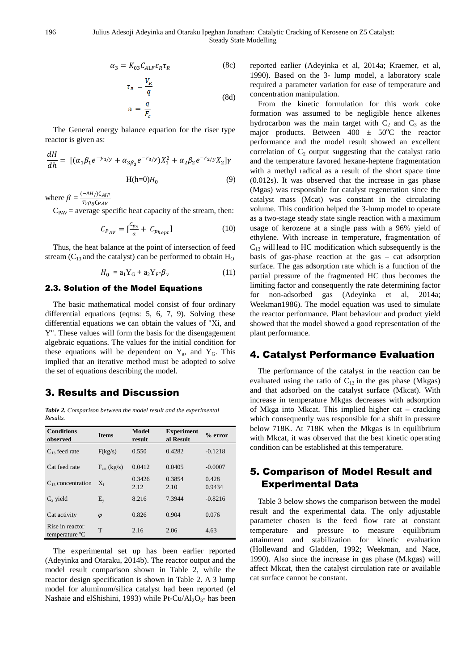$$
\alpha_3 = K_{03} C_{A1F} \varepsilon_R \tau_R \tag{8c}
$$

$$
\tau_R = \frac{V_R}{q}
$$
\n
$$
a = \frac{q}{F_c}
$$
\n(8d)

The General energy balance equation for the riser type reactor is given as:

$$
\frac{dH}{dh} = \left[ (\alpha_1 \beta_1 e^{-y_{1/y}} + \alpha_{3\beta_3} e^{-r_{3/y}}) X_1^2 + \alpha_2 \beta_2 e^{-r_{2/y}} X_2 \right] \gamma
$$
  
H(h=0)H<sub>0</sub> (9)

where  $\beta = \frac{(-\Delta H_I)C_{AIF}}{T_{A} \cos F_{B} M}$  $T_r\rho_{\delta}$ C $_{PAV}$ 

 $C_{PAV}$  = average specific heat capacity of the stream, then:

$$
C_{P_{AV}} = \left[\frac{c_{p_s}}{a} + C_{p_{hept}}\right] \tag{10}
$$

Thus, the heat balance at the point of intersection of feed stream ( $C_{13}$  and the catalyst) can be performed to obtain  $H_0$ 

$$
H_0 = a_1 Y_G + a_2 Y_F - \beta_v \tag{11}
$$

#### 2.3. Solution of the Model Equations

The basic mathematical model consist of four ordinary differential equations (eqtns: 5, 6, 7, 9). Solving these differential equations we can obtain the values of "Xi, and Y". These values will form the basis for the disengagement algebraic equations. The values for the initial condition for these equations will be dependent on  $Y_a$ , and  $Y_G$ . This implied that an iterative method must be adopted to solve the set of equations describing the model.

# 3. Results and Discussion

*Table 2. Comparison between the model result and the experimental Results.* 

| <b>Conditions</b><br>observed     | <b>Items</b>     | <b>Model</b><br>result | <b>Experiment</b><br>al Result | $%$ error       |
|-----------------------------------|------------------|------------------------|--------------------------------|-----------------|
| $C_{13}$ feed rate                | F(kg/s)          | 0.550                  | 0.4282                         | $-0.1218$       |
| Cat feed rate                     | $F_{cat}$ (kg/s) | 0.0412                 | 0.0405                         | $-0.0007$       |
| C <sub>13</sub> concentration     | $X_i$            | 0.3426<br>2.12         | 0.3854<br>2.10                 | 0.428<br>0.9434 |
| $C_2$ yield                       | $E_v$            | 8.216                  | 7.3944                         | $-0.8216$       |
| Cat activity                      | $\varphi$        | 0.826                  | 0.904                          | 0.076           |
| Rise in reactor<br>temperature °C | T                | 2.16                   | 2.06                           | 4.63            |

The experimental set up has been earlier reported (Adeyinka and Otaraku, 2014b). The reactor output and the model result comparison shown in Table 2, while the reactor design specification is shown in Table 2. A 3 lump model for aluminum/silica catalyst had been reported (el Nashaie and elShishini, 1993) while Pt-Cu/Al<sub>2</sub>O<sub>3</sub>- has been reported earlier (Adeyinka et al, 2014a; Kraemer, et al, 1990). Based on the 3- lump model, a laboratory scale required a parameter variation for ease of temperature and concentration manipulation.

From the kinetic formulation for this work coke formation was assumed to be negligible hence alkenes hydrocarbon was the main target with  $C_2$  and  $C_3$  as the major products. Between  $400 \pm 50^{\circ}$ C the reactor performance and the model result showed an excellent correlation of  $C_2$  output suggesting that the catalyst ratio and the temperature favored hexane-heptene fragmentation with a methyl radical as a result of the short space time (0.012s). It was observed that the increase in gas phase (Mgas) was responsible for catalyst regeneration since the catalyst mass (Mcat) was constant in the circulating volume. This condition helped the 3-lump model to operate as a two-stage steady state single reaction with a maximum usage of kerozene at a single pass with a 96% yield of ethylene. With increase in temperature, fragmentation of  $C_{13}$  will lead to HC modification which subsequently is the basis of gas-phase reaction at the gas – cat adsorption surface. The gas adsorption rate which is a function of the partial pressure of the fragmented HC thus becomes the limiting factor and consequently the rate determining factor for non-adsorbed gas (Adeyinka et al, 2014a; Weekman1986). The model equation was used to simulate the reactor performance. Plant behaviour and product yield showed that the model showed a good representation of the plant performance.

# 4. Catalyst Performance Evaluation

The performance of the catalyst in the reaction can be evaluated using the ratio of  $C_{13}$  in the gas phase (Mkgas) and that adsorbed on the catalyst surface (Mkcat). With increase in temperature Mkgas decreases with adsorption of Mkga into Mkcat. This implied higher cat – cracking which consequently was responsible for a shift in pressure below 718K. At 718K when the Mkgas is in equilibrium with Mkcat, it was observed that the best kinetic operating condition can be established at this temperature.

# 5. Comparison of Model Result and Experimental Data

Table 3 below shows the comparison between the model result and the experimental data. The only adjustable parameter chosen is the feed flow rate at constant temperature and pressure to measure equilibrium attainment and stabilization for kinetic evaluation (Hollewand and Gladden, 1992; Weekman, and Nace, 1990). Also since the increase in gas phase (M.kgas) will affect Mkcat, then the catalyst circulation rate or available cat surface cannot be constant.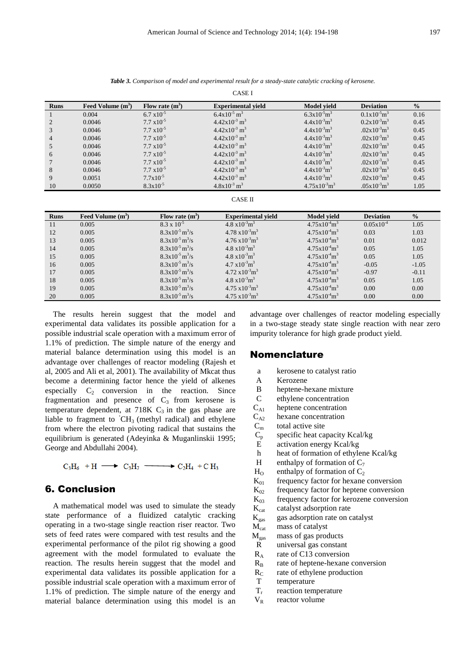| <b>CASE I</b>  |                     |                                 |                                      |                                      |                  |               |  |  |  |  |
|----------------|---------------------|---------------------------------|--------------------------------------|--------------------------------------|------------------|---------------|--|--|--|--|
| <b>Runs</b>    | Feed Volume $(m^3)$ | Flow rate $(m^3)$               | <b>Experimental yield</b>            | <b>Model yield</b>                   | <b>Deviation</b> | $\frac{0}{0}$ |  |  |  |  |
|                | 0.004               | $6.7 \times 10^{-5}$            | $6.4x10^{-5}$ m <sup>3</sup>         | $6.3x10^{5}m^{3}$                    | $0.1x10^{-5}m^3$ | 0.16          |  |  |  |  |
| $\overline{c}$ | 0.0046              | $7.7 \times 10^{-5}$            | $4.42x10^{3}$ m <sup>3</sup>         | $4.4x10^{3}m^{3}$                    | $0.2x10^{-3}m^3$ | 0.45          |  |  |  |  |
| 3              | 0.0046              | $7.7 \times 10^{-5}$            | $4.42x10^{3}$ m <sup>3</sup>         | $4.4x10^{-3}m^3$                     | $.02x10^{-3}m^3$ | 0.45          |  |  |  |  |
| 4              | 0.0046              | $7.7 \times 10^{-5}$            | $4.42x10^{-3}$ m <sup>3</sup>        | $4.4x10^{-3}m^3$                     | $.02x10^{-3}m^3$ | 0.45          |  |  |  |  |
| 5              | 0.0046              | $7.7 \times 10^{-5}$            | $4.42x10^{3}$ m <sup>3</sup>         | $4.4x10^{3}m^{3}$                    | $.02x10^{-3}m^3$ | 0.45          |  |  |  |  |
| 6              | 0.0046              | $7.7 \times 10^{-5}$            | $4.42x10^{3}$ m <sup>3</sup>         | $4.4x10^{-3}m^{3}$                   | $.02x10^{-3}m^3$ | 0.45          |  |  |  |  |
| 7              | 0.0046              | $7.7 \times 10^{-5}$            | $4.42x10^{-3}$ m <sup>3</sup>        | $4.4x10^{-3}m^3$                     | $.02x10^{-3}m^3$ | 0.45          |  |  |  |  |
| 8              | 0.0046              | $7.7 \times 10^{-5}$            | $4.42x10^{-3}$ m <sup>3</sup>        | $4.4x10^{-3}m^3$                     | $.02x10^{-3}m^3$ | 0.45          |  |  |  |  |
| 9              | 0.0051              | $7.7 \times 10^{-5}$            | $4.42x10^{3}$ m <sup>3</sup>         | $4.4x10^{3}m^{3}$                    | $.02x10^{-3}m^3$ | 0.45          |  |  |  |  |
| 10             | 0.0050              | $8.3x10^{-5}$                   | $4.8x10^{-3}$ m <sup>3</sup>         | $4.75x10^{3}m^{3}$                   | $.05x10^{-3}m^3$ | 1.05          |  |  |  |  |
| <b>CASE II</b> |                     |                                 |                                      |                                      |                  |               |  |  |  |  |
|                |                     |                                 |                                      |                                      |                  |               |  |  |  |  |
| <b>Runs</b>    | Feed Volume $(m3)$  | Flow rate $(m^3)$               | <b>Experimental yield</b>            | <b>Model yield</b>                   | <b>Deviation</b> | $\frac{0}{0}$ |  |  |  |  |
| 11             | 0.005               | $8.3 \times 10^{-5}$            | $4.8 \times 10^{-3}$ m <sup>3</sup>  | $4.75x10^{4}m^{3}$                   | $0.05x10^{-4}$   | 1.05          |  |  |  |  |
| 12             | 0.005               | $8.3x10^{-5}$ m <sup>3</sup> /s | $4.78 \times 10^{-3}$ m <sup>3</sup> | $4.75 \times 10^{-4}$ m <sup>3</sup> | 0.03             | 1.03          |  |  |  |  |
| 13             | 0.005               | $8.3x10^{-5}$ m <sup>3</sup> /s | $4.76 \times 10^{-3}$ m <sup>3</sup> | $4.75 \times 10^{-4}$ m <sup>3</sup> | 0.01             | 0.012         |  |  |  |  |
| 14             | 0.005               | $8.3x10^{-5}$ m <sup>3</sup> /s | $4.8 \times 10^{-3}$ m <sup>3</sup>  | $4.75 \times 10^{-4}$ m <sup>3</sup> | 0.05             | 1.05          |  |  |  |  |
| 15             | 0.005               | $8.3x10^{-5}$ m <sup>3</sup> /s | $4.8 \times 10^{-3}$ m <sup>3</sup>  | $4.75x10^{4}m^{3}$                   | 0.05             | 1.05          |  |  |  |  |
| 16             | 0.005               | $8.3x10^{-5}$ m <sup>3</sup> /s | $4.7 \times 10^{-3}$ m <sup>3</sup>  | $4.75x10^{4}m^{3}$                   | $-0.05$          | $-1.05$       |  |  |  |  |
| 17             | 0.005               | $8.3x10^{-5}$ m <sup>3</sup> /s | $4.72 \times 10^{-3}$ m <sup>3</sup> | $4.75x10^{4}m^{3}$                   | $-0.97$          | $-0.11$       |  |  |  |  |
| 18             | 0.005               | $8.3x10^{-5}$ m <sup>3</sup> /s | $4.8 \times 10^{-3}$ m <sup>3</sup>  | $4.75 \times 10^{-4}$ m <sup>3</sup> | 0.05             | 1.05          |  |  |  |  |
| 19             | 0.005               | $8.3x10^{-5}$ m <sup>3</sup> /s | $4.75 \times 10^{-3}$ m <sup>3</sup> | $4.75 \times 10^{-4}$ m <sup>3</sup> | 0.00             | 0.00          |  |  |  |  |
| 20             | 0.005               | $8.3x10^{-5}$ m <sup>3</sup> /s | $4.75 \times 10^{-3}$ m <sup>3</sup> | $4.75x10^{4}m^{3}$                   | 0.00             | 0.00          |  |  |  |  |

*Table 3. Comparison of model and experimental result for a steady-state catalytic cracking of kerosene.*   $\overline{a}$  is a  $\overline{a}$ 

The results herein suggest that the model and experimental data validates its possible application for a possible industrial scale operation with a maximum error of 1.1% of prediction. The simple nature of the energy and material balance determination using this model is an advantage over challenges of reactor modeling (Rajesh et al, 2005 and Ali et al, 2001). The availability of Mkcat thus become a determining factor hence the yield of alkenes especially  $C_2$  conversion in the reaction. Since fragmentation and presence of  $C_3$  from kerosene is temperature dependent, at  $718K$  C<sub>3</sub> in the gas phase are liable to fragment to  $CH_3$  (methyl radical) and ethylene from where the electron pivoting radical that sustains the equilibrium is generated (Adeyinka & Muganlinskii 1995; George and Abdullahi 2004).

$$
C_3H_6 + H \longrightarrow C_3H_7 \longrightarrow C_2H_4 + C H_3
$$

### 6. Conclusion

A mathematical model was used to simulate the steady state performance of a fluidized catalytic cracking operating in a two-stage single reaction riser reactor. Two sets of feed rates were compared with test results and the experimental performance of the pilot rig showing a good agreement with the model formulated to evaluate the reaction. The results herein suggest that the model and experimental data validates its possible application for a possible industrial scale operation with a maximum error of 1.1% of prediction. The simple nature of the energy and material balance determination using this model is an advantage over challenges of reactor modeling especially in a two-stage steady state single reaction with near zero impurity tolerance for high grade product yield.

#### Nomenclature

- a kerosene to catalyst ratio
- A Kerozene
- B heptene-hexane mixture
- C ethylene concentration
- $C_{A1}$  heptene concentration
- 
- $C_{A2}$  hexane concentration<br>C<sub>m</sub> total active site
- $C_m$  total active site<br> $C_p$  specific heat ca  $C_p$  specific heat capacity Kcal/kg<br>E activation energy Kcal/kg
- activation energy Kcal/kg
- h heat of formation of ethylene Kcal/kg
- H enthalpy of formation of  $C_7$
- $H<sub>o</sub>$  enthalpy of formation of  $C<sub>2</sub>$
- $K_{01}$  frequency factor for hexane conversion
- $K_{02}$  frequency factor for heptene conversion
- $K<sub>03</sub>$  frequency factor for kerozene conversion<br> $K<sub>cat</sub>$  catalyst adsorption rate
- catalyst adsorption rate
- $K_{\text{gas}}$  gas adsorption rate on catalyst
- M<sub>cat</sub> mass of catalyst
- $M_{\text{gas}}$  mass of gas products
- R universal gas constant
- $R_A$  rate of C13 conversion<br> $R_B$  rate of heptene-hexane
- $R_B$  rate of heptene-hexane conversion<br> $R_C$  rate of ethylene production
- rate of ethylene production
- T temperature
- Tr reaction temperature
- $V_R$  reactor volume